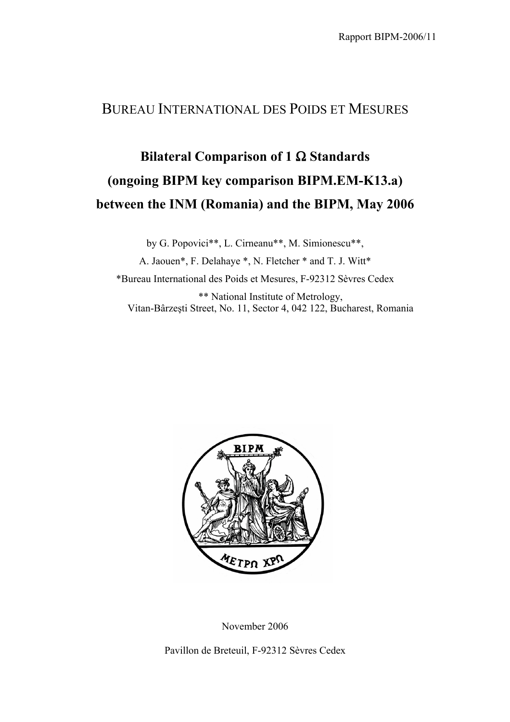## BUREAU INTERNATIONAL DES POIDS ET MESURES

## **Bilateral Comparison of 1** Ω **Standards (ongoing BIPM key comparison BIPM.EM-K13.a) between the INM (Romania) and the BIPM, May 2006**

by G. Popovici\*\*, L. Cirneanu\*\*, M. Simionescu\*\*, A. Jaouen\*, F. Delahaye \*, N. Fletcher \* and T. J. Witt\* \*Bureau International des Poids et Mesures, F-92312 Sèvres Cedex \*\* National Institute of Metrology, Vitan-Bârzeşti Street, No. 11, Sector 4, 042 122, Bucharest, Romania



November 2006

Pavillon de Breteuil, F-92312 Sèvres Cedex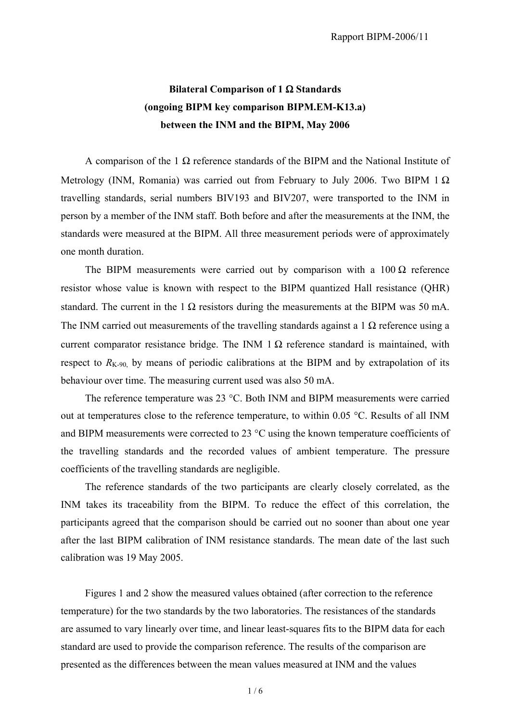## **Bilateral Comparison of 1** Ω **Standards (ongoing BIPM key comparison BIPM.EM-K13.a) between the INM and the BIPM, May 2006**

A comparison of the 1  $\Omega$  reference standards of the BIPM and the National Institute of Metrology (INM, Romania) was carried out from February to July 2006. Two BIPM 1  $\Omega$ travelling standards, serial numbers BIV193 and BIV207, were transported to the INM in person by a member of the INM staff. Both before and after the measurements at the INM, the standards were measured at the BIPM. All three measurement periods were of approximately one month duration.

The BIPM measurements were carried out by comparison with a  $100 \Omega$  reference resistor whose value is known with respect to the BIPM quantized Hall resistance (QHR) standard. The current in the 1  $\Omega$  resistors during the measurements at the BIPM was 50 mA. The INM carried out measurements of the travelling standards against a 1  $\Omega$  reference using a current comparator resistance bridge. The INM 1  $\Omega$  reference standard is maintained, with respect to  $R_{K-90}$  by means of periodic calibrations at the BIPM and by extrapolation of its behaviour over time. The measuring current used was also 50 mA.

The reference temperature was 23 °C. Both INM and BIPM measurements were carried out at temperatures close to the reference temperature, to within 0.05 °C. Results of all INM and BIPM measurements were corrected to 23 °C using the known temperature coefficients of the travelling standards and the recorded values of ambient temperature. The pressure coefficients of the travelling standards are negligible.

The reference standards of the two participants are clearly closely correlated, as the INM takes its traceability from the BIPM. To reduce the effect of this correlation, the participants agreed that the comparison should be carried out no sooner than about one year after the last BIPM calibration of INM resistance standards. The mean date of the last such calibration was 19 May 2005.

Figures 1 and 2 show the measured values obtained (after correction to the reference temperature) for the two standards by the two laboratories. The resistances of the standards are assumed to vary linearly over time, and linear least-squares fits to the BIPM data for each standard are used to provide the comparison reference. The results of the comparison are presented as the differences between the mean values measured at INM and the values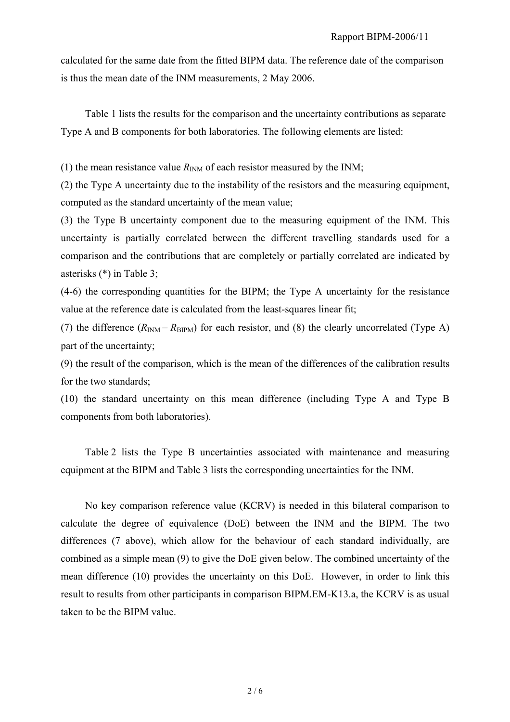calculated for the same date from the fitted BIPM data. The reference date of the comparison is thus the mean date of the INM measurements, 2 May 2006.

Table 1 lists the results for the comparison and the uncertainty contributions as separate Type A and B components for both laboratories. The following elements are listed:

(1) the mean resistance value  $R_{\text{INM}}$  of each resistor measured by the INM;

(2) the Type A uncertainty due to the instability of the resistors and the measuring equipment, computed as the standard uncertainty of the mean value;

(3) the Type B uncertainty component due to the measuring equipment of the INM. This uncertainty is partially correlated between the different travelling standards used for a comparison and the contributions that are completely or partially correlated are indicated by asterisks (\*) in Table 3;

(4-6) the corresponding quantities for the BIPM; the Type A uncertainty for the resistance value at the reference date is calculated from the least-squares linear fit;

(7) the difference  $(R_{INM} - R_{BIPM})$  for each resistor, and (8) the clearly uncorrelated (Type A) part of the uncertainty;

(9) the result of the comparison, which is the mean of the differences of the calibration results for the two standards;

(10) the standard uncertainty on this mean difference (including Type A and Type B components from both laboratories).

Table 2 lists the Type B uncertainties associated with maintenance and measuring equipment at the BIPM and Table 3 lists the corresponding uncertainties for the INM.

 No key comparison reference value (KCRV) is needed in this bilateral comparison to calculate the degree of equivalence (DoE) between the INM and the BIPM. The two differences (7 above), which allow for the behaviour of each standard individually, are combined as a simple mean (9) to give the DoE given below. The combined uncertainty of the mean difference (10) provides the uncertainty on this DoE. However, in order to link this result to results from other participants in comparison BIPM.EM-K13.a, the KCRV is as usual taken to be the BIPM value.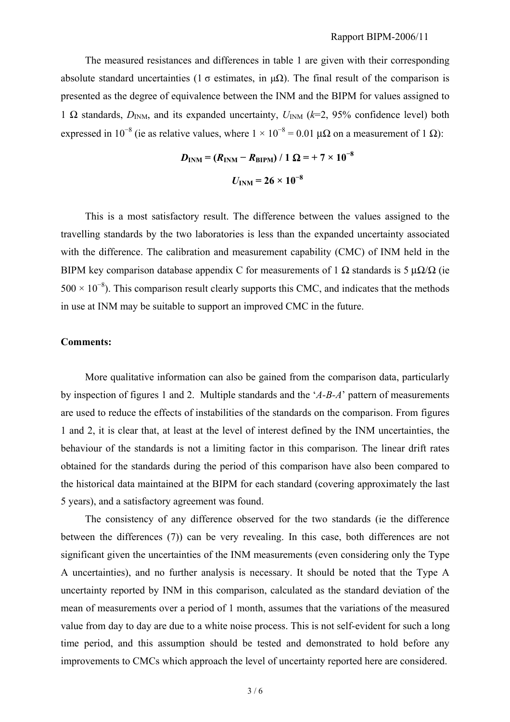The measured resistances and differences in table 1 are given with their corresponding absolute standard uncertainties (1  $\sigma$  estimates, in  $\mu\Omega$ ). The final result of the comparison is presented as the degree of equivalence between the INM and the BIPM for values assigned to 1  $\Omega$  standards,  $D_{INM}$ , and its expanded uncertainty,  $U_{INM}$  ( $k=2$ , 95% confidence level) both expressed in 10<sup>-8</sup> (ie as relative values, where  $1 \times 10^{-8} = 0.01 \mu\Omega$  on a measurement of 1 Ω):

$$
D_{\text{INM}} = (R_{\text{INM}} - R_{\text{BIPM}}) / 1 \Omega = + 7 \times 10^{-8}
$$
  
 $U_{\text{INM}} = 26 \times 10^{-8}$ 

This is a most satisfactory result. The difference between the values assigned to the travelling standards by the two laboratories is less than the expanded uncertainty associated with the difference. The calibration and measurement capability (CMC) of INM held in the BIPM key comparison database appendix C for measurements of 1  $\Omega$  standards is 5 μ $\Omega/\Omega$  (ie  $500 \times 10^{-8}$ ). This comparison result clearly supports this CMC, and indicates that the methods in use at INM may be suitable to support an improved CMC in the future.

## **Comments:**

 More qualitative information can also be gained from the comparison data, particularly by inspection of figures 1 and 2. Multiple standards and the '*A-B-A*' pattern of measurements are used to reduce the effects of instabilities of the standards on the comparison. From figures 1 and 2, it is clear that, at least at the level of interest defined by the INM uncertainties, the behaviour of the standards is not a limiting factor in this comparison. The linear drift rates obtained for the standards during the period of this comparison have also been compared to the historical data maintained at the BIPM for each standard (covering approximately the last 5 years), and a satisfactory agreement was found.

 The consistency of any difference observed for the two standards (ie the difference between the differences (7)) can be very revealing. In this case, both differences are not significant given the uncertainties of the INM measurements (even considering only the Type A uncertainties), and no further analysis is necessary. It should be noted that the Type A uncertainty reported by INM in this comparison, calculated as the standard deviation of the mean of measurements over a period of 1 month, assumes that the variations of the measured value from day to day are due to a white noise process. This is not self-evident for such a long time period, and this assumption should be tested and demonstrated to hold before any improvements to CMCs which approach the level of uncertainty reported here are considered.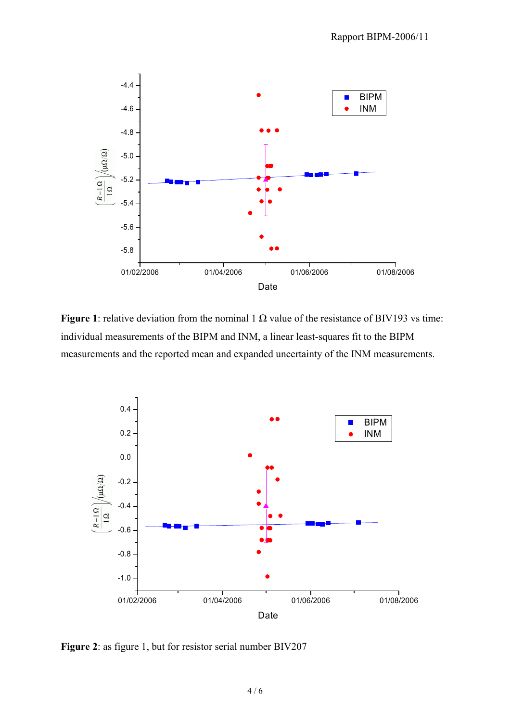

**Figure 1**: relative deviation from the nominal 1  $\Omega$  value of the resistance of BIV193 vs time: individual measurements of the BIPM and INM, a linear least-squares fit to the BIPM measurements and the reported mean and expanded uncertainty of the INM measurements.



**Figure 2**: as figure 1, but for resistor serial number BIV207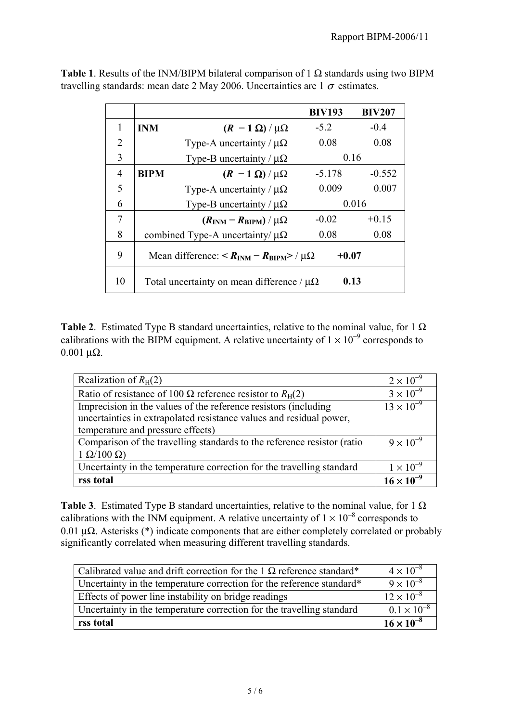|                |                                                     |                                                | <b>BIV193</b> | <b>BIV207</b> |
|----------------|-----------------------------------------------------|------------------------------------------------|---------------|---------------|
| 1              | <b>INM</b>                                          | $(R - 1 \Omega)/\mu\Omega$                     | $-5.2$        | $-0.4$        |
| $\overline{2}$ |                                                     | Type-A uncertainty / $\mu\Omega$               | 0.08          | 0.08          |
| 3              |                                                     | Type-B uncertainty / $\mu\Omega$               | 0.16          |               |
| 4              | <b>BIPM</b>                                         | $(R - 1 \Omega)/\mu\Omega$                     | $-5.178$      | $-0.552$      |
| 5              |                                                     | Type-A uncertainty / $\mu\Omega$               | 0.009         | 0.007         |
| 6              |                                                     | Type-B uncertainty / $\mu\Omega$               | 0.016         |               |
| 7              |                                                     | $(R_{\text{INM}} - R_{\text{BIPM}})/\mu\Omega$ | $-0.02$       | $+0.15$       |
| 8              | combined Type-A uncertainty/ $\mu\Omega$            |                                                | 0.08          | 0.08          |
| 9              | Mean difference: $R_{INM} - R_{BIPM}$ / $\mu\Omega$ |                                                | $+0.07$       |               |
| 10             | Total uncertainty on mean difference / $\mu\Omega$  |                                                | 0.13          |               |

**Table 1**. Results of the INM/BIPM bilateral comparison of 1  $\Omega$  standards using two BIPM travelling standards: mean date 2 May 2006. Uncertainties are  $1\sigma$  estimates.

**Table 2**. Estimated Type B standard uncertainties, relative to the nominal value, for 1  $\Omega$ calibrations with the BIPM equipment. A relative uncertainty of  $1 \times 10^{-9}$  corresponds to  $0.001$  μΩ.

| Realization of $R_H(2)$                                                 | $2 \times 10^{-9}$  |
|-------------------------------------------------------------------------|---------------------|
| Ratio of resistance of 100 $\Omega$ reference resistor to $R_H(2)$      | $3 \times 10^{-9}$  |
| Imprecision in the values of the reference resistors (including         | $13 \times 10^{-9}$ |
| uncertainties in extrapolated resistance values and residual power,     |                     |
| temperature and pressure effects)                                       |                     |
| Comparison of the travelling standards to the reference resistor (ratio | $9 \times 10^{-9}$  |
| $1 \Omega/100 \Omega$                                                   |                     |
| Uncertainty in the temperature correction for the travelling standard   | $1 \times 10^{-9}$  |
| rss total                                                               | $16 \times 10^{-9}$ |

**Table 3**. Estimated Type B standard uncertainties, relative to the nominal value, for 1  $\Omega$ calibrations with the INM equipment. A relative uncertainty of  $1 \times 10^{-8}$  corresponds to 0.01  $\mu\Omega$ . Asterisks (\*) indicate components that are either completely correlated or probably significantly correlated when measuring different travelling standards.

| Calibrated value and drift correction for the 1 $\Omega$ reference standard* | $4 \times 10^{-8}$   |
|------------------------------------------------------------------------------|----------------------|
| Uncertainty in the temperature correction for the reference standard*        | $9 \times 10^{-8}$   |
| Effects of power line instability on bridge readings                         | $12 \times 10^{-8}$  |
| Uncertainty in the temperature correction for the travelling standard        | $0.1 \times 10^{-8}$ |
| rss total                                                                    | $16 \times 10^{-8}$  |